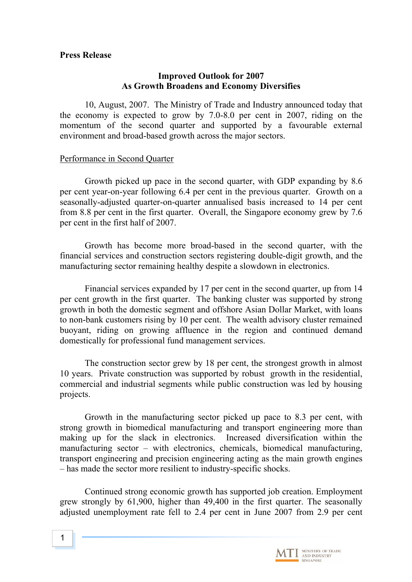### **Press Release**

### **Improved Outlook for 2007 As Growth Broadens and Economy Diversifies**

10, August, 2007. The Ministry of Trade and Industry announced today that the economy is expected to grow by 7.0-8.0 per cent in 2007, riding on the momentum of the second quarter and supported by a favourable external environment and broad-based growth across the major sectors.

### Performance in Second Quarter

Growth picked up pace in the second quarter, with GDP expanding by 8.6 per cent year-on-year following 6.4 per cent in the previous quarter. Growth on a seasonally-adjusted quarter-on-quarter annualised basis increased to 14 per cent from 8.8 per cent in the first quarter. Overall, the Singapore economy grew by 7.6 per cent in the first half of 2007.

Growth has become more broad-based in the second quarter, with the financial services and construction sectors registering double-digit growth, and the manufacturing sector remaining healthy despite a slowdown in electronics.

Financial services expanded by 17 per cent in the second quarter, up from 14 per cent growth in the first quarter. The banking cluster was supported by strong growth in both the domestic segment and offshore Asian Dollar Market, with loans to non-bank customers rising by 10 per cent. The wealth advisory cluster remained buoyant, riding on growing affluence in the region and continued demand domestically for professional fund management services.

The construction sector grew by 18 per cent, the strongest growth in almost 10 years. Private construction was supported by robust growth in the residential, commercial and industrial segments while public construction was led by housing projects.

Growth in the manufacturing sector picked up pace to 8.3 per cent, with strong growth in biomedical manufacturing and transport engineering more than making up for the slack in electronics. Increased diversification within the manufacturing sector – with electronics, chemicals, biomedical manufacturing, transport engineering and precision engineering acting as the main growth engines – has made the sector more resilient to industry-specific shocks.

Continued strong economic growth has supported job creation. Employment grew strongly by 61,900, higher than 49,400 in the first quarter. The seasonally adjusted unemployment rate fell to 2.4 per cent in June 2007 from 2.9 per cent

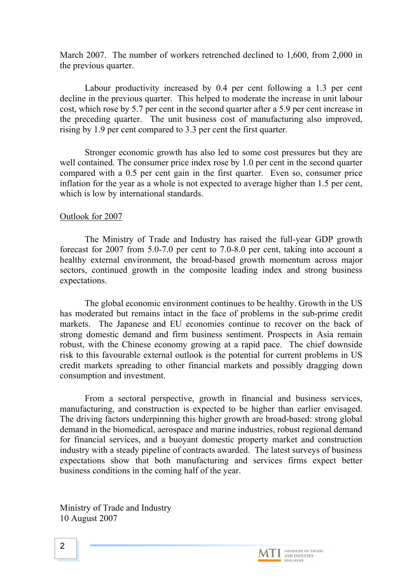March 2007. The number of workers retrenched declined to 1,600, from 2,000 in the previous quarter.

Labour productivity increased by 0.4 per cent following a 1.3 per cent decline in the previous quarter. This helped to moderate the increase in unit labour cost, which rose by 5.7 per cent in the second quarter after a 5.9 per cent increase in the preceding quarter. The unit business cost of manufacturing also improved, rising by 1.9 per cent compared to 3.3 per cent the first quarter.

Stronger economic growth has also led to some cost pressures but they are well contained. The consumer price index rose by 1.0 per cent in the second quarter compared with a 0.5 per cent gain in the first quarter. Even so, consumer price inflation for the year as a whole is not expected to average higher than 1.5 per cent, which is low by international standards.

### Outlook for 2007

The Ministry of Trade and Industry has raised the full-year GDP growth forecast for 2007 from 5.0-7.0 per cent to 7.0-8.0 per cent, taking into account a healthy external environment, the broad-based growth momentum across major sectors, continued growth in the composite leading index and strong business expectations.

The global economic environment continues to be healthy. Growth in the US has moderated but remains intact in the face of problems in the sub-prime credit markets. The Japanese and EU economies continue to recover on the back of strong domestic demand and firm business sentiment. Prospects in Asia remain robust, with the Chinese economy growing at a rapid pace. The chief downside risk to this favourable external outlook is the potential for current problems in US credit markets spreading to other financial markets and possibly dragging down consumption and investment.

From a sectoral perspective, growth in financial and business services, manufacturing, and construction is expected to be higher than earlier envisaged. The driving factors underpinning this higher growth are broad-based: strong global demand in the biomedical, aerospace and marine industries, robust regional demand for financial services, and a buoyant domestic property market and construction industry with a steady pipeline of contracts awarded. The latest surveys of business expectations show that both manufacturing and services firms expect better business conditions in the coming half of the year.

Ministry of Trade and Industry 10 August 2007

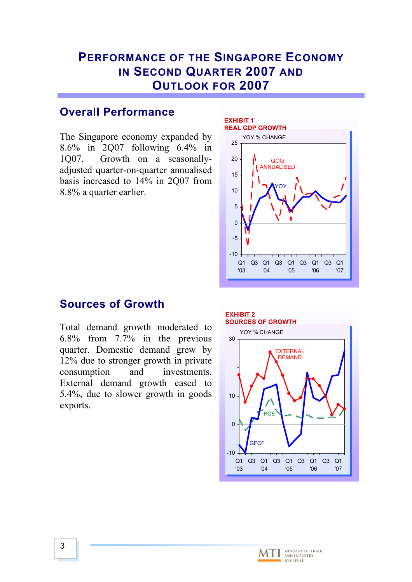# **PERFORMANCE OF THE SINGAPORE ECONOMY IN SECOND QUARTER 2007 AND OUTLOOK FOR 2007**

# **Overall Performance**

The Singapore economy expanded by 8.6% in 2Q07 following 6.4% in 1Q07. Growth on a seasonallyadjusted quarter-on-quarter annualised basis increased to 14% in 2Q07 from 8.8% a quarter earlier.



## **Sources of Growth**

Total demand growth moderated to 6.8% from 7.7% in the previous quarter. Domestic demand grew by 12% due to stronger growth in private consumption and investments. External demand growth eased to 5.4%, due to slower growth in goods exports.





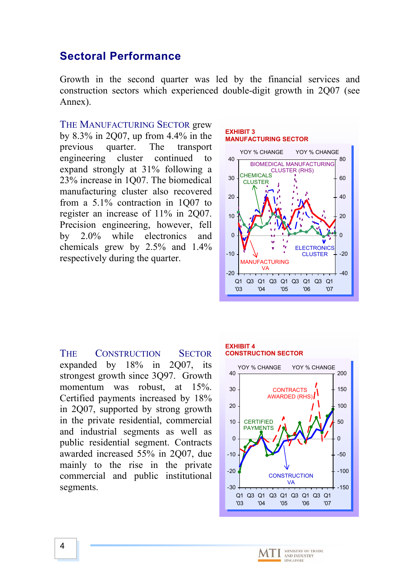## **Sectoral Performance**

Growth in the second quarter was led by the financial services and construction sectors which experienced double-digit growth in 2Q07 (see Annex).

THE MANUFACTURING SECTOR grew by 8.3% in 2Q07, up from 4.4% in the previous quarter. The transport engineering cluster continued to expand strongly at 31% following a 23% increase in 1Q07. The biomedical manufacturing cluster also recovered from a 5.1% contraction in 1Q07 to register an increase of 11% in 2Q07. Precision engineering, however, fell by 2.0% while electronics and chemicals grew by 2.5% and 1.4% respectively during the quarter.

#### **EXHIBIT 3 MANUFACTURING SECTOR**



THE CONSTRUCTION SECTOR expanded by 18% in 2Q07, its strongest growth since 3Q97. Growth momentum was robust, at 15%. Certified payments increased by 18% in 2Q07, supported by strong growth in the private residential, commercial and industrial segments as well as public residential segment. Contracts awarded increased 55% in 2Q07, due mainly to the rise in the private commercial and public institutional segments.

#### **EXHIBIT 4 CONSTRUCTION SECTOR**



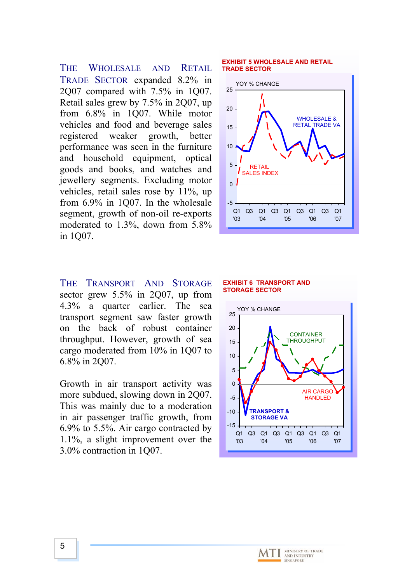THE WHOLESALE AND RETAIL TRADE SECTOR expanded 8.2% in 2Q07 compared with 7.5% in 1Q07. Retail sales grew by 7.5% in 2Q07, up from 6.8% in 1Q07. While motor vehicles and food and beverage sales registered weaker growth, better performance was seen in the furniture and household equipment, optical goods and books, and watches and jewellery segments. Excluding motor vehicles, retail sales rose by 11%, up from 6.9% in 1Q07. In the wholesale segment, growth of non-oil re-exports moderated to 1.3%, down from 5.8% in 1Q07.

THE TRANSPORT AND STORAGE sector grew 5.5% in 2Q07, up from 4.3% a quarter earlier. The sea transport segment saw faster growth on the back of robust container throughput. However, growth of sea cargo moderated from 10% in 1Q07 to 6.8% in 2Q07.

Growth in air transport activity was more subdued, slowing down in 2Q07. This was mainly due to a moderation in air passenger traffic growth, from 6.9% to 5.5%. Air cargo contracted by 1.1%, a slight improvement over the 3.0% contraction in 1Q07.

#### **EXHIBIT 5 WHOLESALE AND RETAIL TRADE SECTOR**



#### **EXHIBIT 6 TRANSPORT AND STORAGE SECTOR**



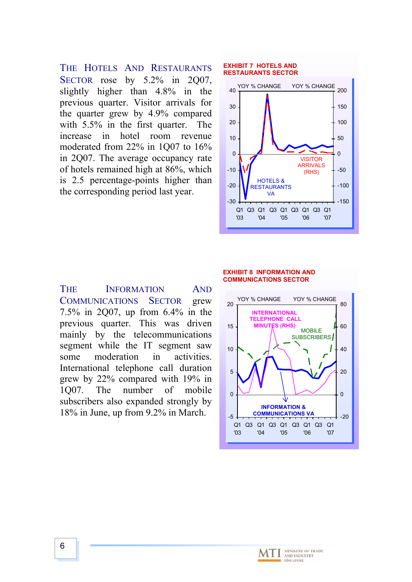THE HOTELS AND RESTAURANTS SECTOR rose by 5.2% in 2007, slightly higher than 4.8% in the previous quarter. Visitor arrivals for the quarter grew by 4.9% compared with 5.5% in the first quarter. The increase in hotel room revenue moderated from 22% in 1Q07 to 16% in 2Q07. The average occupancy rate of hotels remained high at 86%, which is 2.5 percentage-points higher than the corresponding period last year.

#### **EXHIBIT 7 HOTELS AND RESTAURANTS SECTOR**



### THE INFORMATION AND COMMUNICATIONS SECTOR grew 7.5% in 2Q07, up from 6.4% in the previous quarter. This was driven mainly by the telecommunications segment while the IT segment saw some moderation in activities. International telephone call duration grew by 22% compared with 19% in 1Q07. The number of mobile subscribers also expanded strongly by 18% in June, up from 9.2% in March.

#### **EXHIBIT 8 INFORMATION AND COMMUNICATIONS SECTOR**



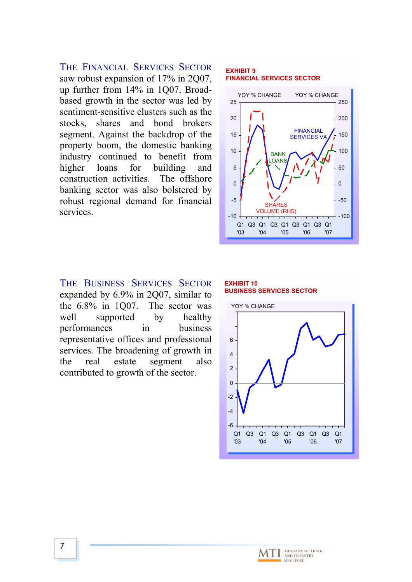THE FINANCIAL SERVICES SECTOR saw robust expansion of 17% in 2007. up further from 14% in 1Q07. Broadbased growth in the sector was led by sentiment-sensitive clusters such as the stocks, shares and bond brokers segment. Against the backdrop of the property boom, the domestic banking industry continued to benefit from higher loans for building and construction activities. The offshore banking sector was also bolstered by robust regional demand for financial services.

### **EXHIBIT 9 FINANCIAL SERVICES SECTOR**



THE BUSINESS SERVICES SECTOR expanded by 6.9% in 2Q07, similar to the 6.8% in 1Q07. The sector was well supported by healthy performances in business representative offices and professional services. The broadening of growth in the real estate segment also contributed to growth of the sector.

### **EXHIBIT 10 BUSINESS SERVICES SECTOR**

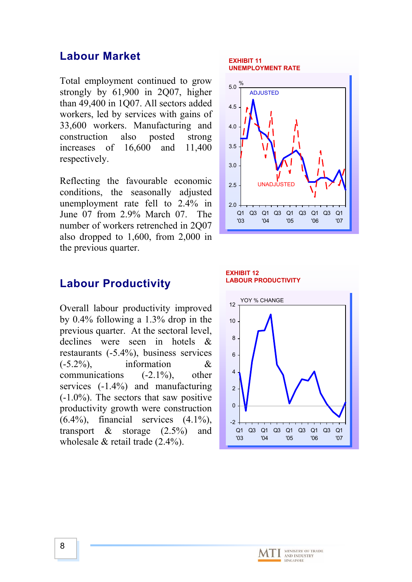### **Labour Market**

Total employment continued to grow strongly by 61,900 in 2007, higher than 49,400 in 1Q07. All sectors added workers, led by services with gains of 33,600 workers. Manufacturing and construction also posted strong increases of 16,600 and 11,400 respectively.

Reflecting the favourable economic conditions, the seasonally adjusted unemployment rate fell to 2.4% in June 07 from 2.9% March 07. The number of workers retrenched in 2Q07 also dropped to 1,600, from 2,000 in the previous quarter.

### **Labour Productivity**

Overall labour productivity improved by 0.4% following a 1.3% drop in the previous quarter. At the sectoral level, declines were seen in hotels & restaurants (-5.4%), business services  $(-5.2\%)$ , information & communications (-2.1%), other services (-1.4%) and manufacturing  $(-1.0\%)$ . The sectors that saw positive productivity growth were construction  $(6.4\%)$ , financial services  $(4.1\%)$ . transport  $\&$  storage  $(2.5\%)$  and wholesale & retail trade (2.4%).

#### **EXHIBIT 11 UNEMPLOYMENT RATE**



#### **EXHIBIT 12 LABOUR PRODUCTIVITY**



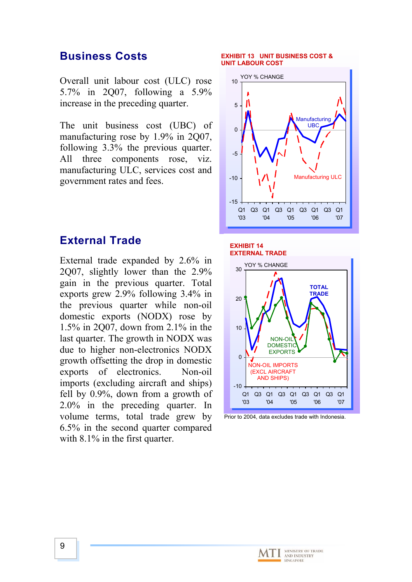## **Business Costs**

Overall unit labour cost (ULC) rose 5.7% in 2Q07, following a 5.9% increase in the preceding quarter.

The unit business cost (UBC) of manufacturing rose by 1.9% in 2Q07, following 3.3% the previous quarter. All three components rose, viz. manufacturing ULC, services cost and government rates and fees.

### **External Trade**

External trade expanded by 2.6% in 2Q07, slightly lower than the 2.9% gain in the previous quarter. Total exports grew 2.9% following 3.4% in the previous quarter while non-oil domestic exports (NODX) rose by 1.5% in 2Q07, down from 2.1% in the last quarter. The growth in NODX was due to higher non-electronics NODX growth offsetting the drop in domestic exports of electronics. Non-oil imports (excluding aircraft and ships) fell by 0.9%, down from a growth of 2.0% in the preceding quarter. In volume terms, total trade grew by 6.5% in the second quarter compared with 8.1% in the first quarter.

#### **EXHIBIT 13 UNIT BUSINESS COST & UNIT LABOUR COST**



### **EXHIBIT 14 EXTERNAL TRADE**





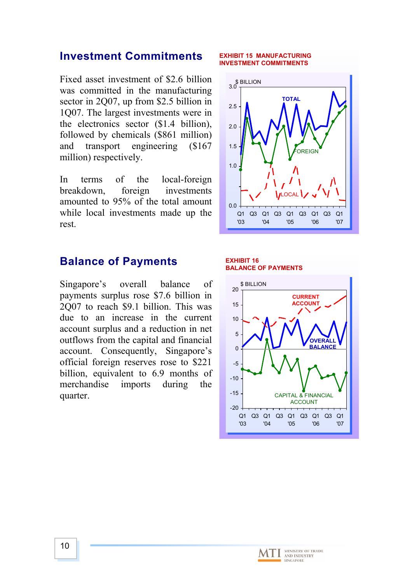## **Investment Commitments**

Fixed asset investment of \$2.6 billion was committed in the manufacturing sector in 2Q07, up from \$2.5 billion in 1Q07. The largest investments were in the electronics sector (\$1.4 billion), followed by chemicals (\$861 million) and transport engineering (\$167 million) respectively.

In terms of the local-foreign breakdown, foreign investments amounted to 95% of the total amount while local investments made up the rest.

## **Balance of Payments**

Singapore's overall balance of payments surplus rose \$7.6 billion in 2Q07 to reach \$9.1 billion. This was due to an increase in the current account surplus and a reduction in net outflows from the capital and financial account. Consequently, Singapore's official foreign reserves rose to \$221 billion, equivalent to 6.9 months of merchandise imports during the quarter.

#### **EXHIBIT 15 MANUFACTURING INVESTMENT COMMITMENTS**



#### **EXHIBIT 16 BALANCE OF PAYMENTS**



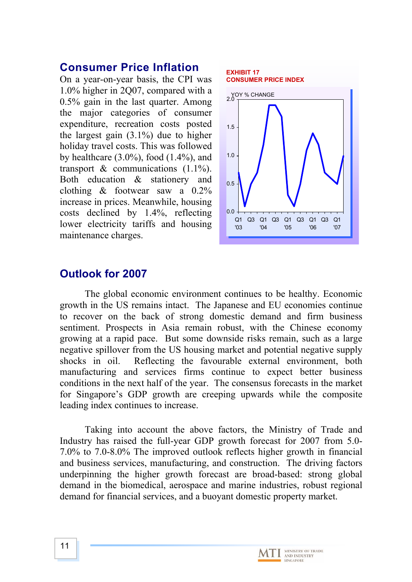### **Consumer Price Inflation**

On a year-on-year basis, the CPI was 1.0% higher in 2Q07, compared with a 0.5% gain in the last quarter. Among the major categories of consumer expenditure, recreation costs posted the largest gain  $(3.1\%)$  due to higher holiday travel costs. This was followed by healthcare  $(3.0\%)$ , food  $(1.4\%)$ , and transport  $\⊂>$  communications (1.1%). Both education & stationery and clothing & footwear saw a 0.2% increase in prices. Meanwhile, housing costs declined by 1.4%, reflecting lower electricity tariffs and housing maintenance charges.



## **utlook for 2007 O**

The global economic environment continues to be healthy. Economic growt h in the US remains intact. The Japanese and EU economies continue to recover on the back of strong domestic demand and firm business sentiment. Prospects in Asia remain robust, with the Chinese economy growing at a rapid pace. But some downside risks remain, such as a large negative spillover from the US housing market and potential negative supply shocks in oil. Reflecting the favourable external environment, both manufacturing and services firms continue to expect better business conditions in the next half of the year. The consensus forecasts in the market for Singapore's GDP growth are creeping upwards while the composite leading index continues to increase.

Taking into account the above factors, the Ministry of Trade and Indust ry has raised the full-year GDP growth forecast for 2007 from 5.0- 7.0% to 7.0-8.0% The improved outlook reflects higher growth in financial and business services, manufacturing, and construction. The driving factors underpinning the higher growth forecast are broad-based: strong global demand in the biomedical, aerospace and marine industries, robust regional demand for financial services, and a buoyant domestic property market.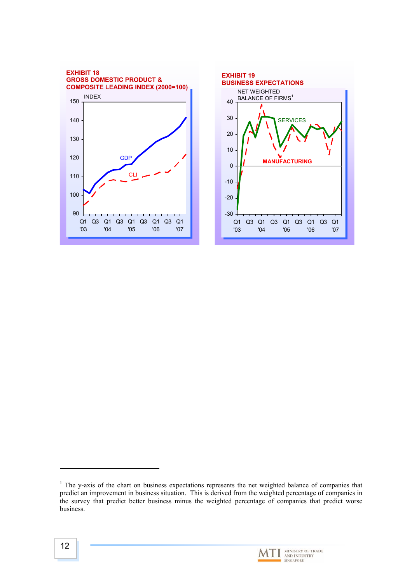



 $\overline{a}$ 

<span id="page-11-0"></span> $1$  The y-axis of the chart on business expectations represents the net weighted balance of companies that predict an improvement in business situation. This is derived from the weighted percentage of companies in the survey that predict better business minus the weighted percentage of companies that predict worse business.